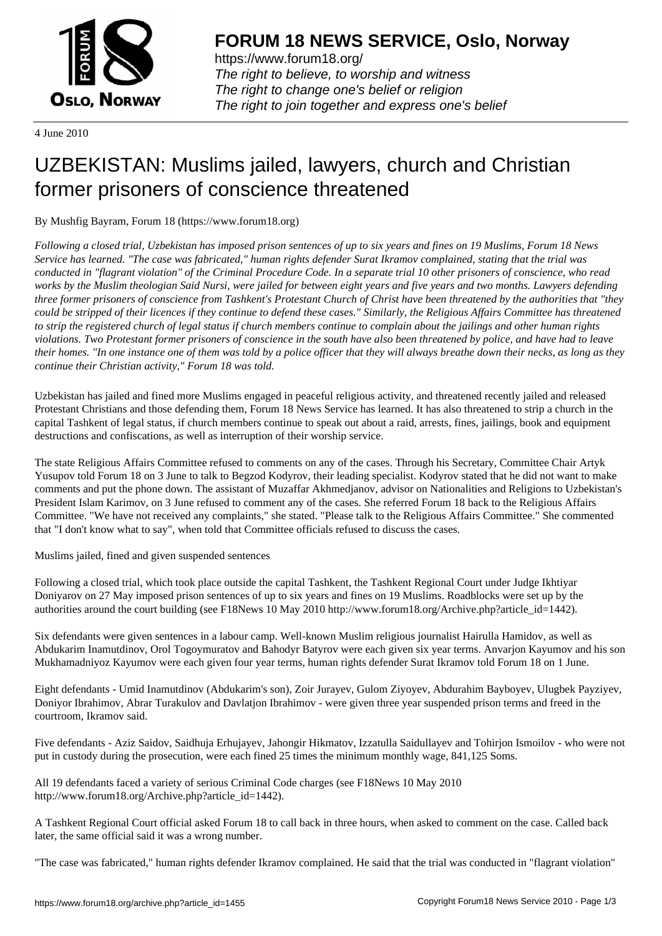

https://www.forum18.org/ The right to believe, to worship and witness The right to change one's belief or religion [The right to join together a](https://www.forum18.org/)nd express one's belief

4 June 2010

## [UZBEKISTAN:](https://www.forum18.org) Muslims jailed, lawyers, church and Christian former prisoners of conscience threatened

By Mushfig Bayram, Forum 18 (https://www.forum18.org)

*Following a closed trial, Uzbekistan has imposed prison sentences of up to six years and fines on 19 Muslims, Forum 18 News Service has learned. "The case was fabricated," human rights defender Surat Ikramov complained, stating that the trial was conducted in "flagrant violation" of the Criminal Procedure Code. In a separate trial 10 other prisoners of conscience, who read works by the Muslim theologian Said Nursi, were jailed for between eight years and five years and two months. Lawyers defending three former prisoners of conscience from Tashkent's Protestant Church of Christ have been threatened by the authorities that "they could be stripped of their licences if they continue to defend these cases." Similarly, the Religious Affairs Committee has threatened to strip the registered church of legal status if church members continue to complain about the jailings and other human rights violations. Two Protestant former prisoners of conscience in the south have also been threatened by police, and have had to leave their homes. "In one instance one of them was told by a police officer that they will always breathe down their necks, as long as they continue their Christian activity," Forum 18 was told.*

Uzbekistan has jailed and fined more Muslims engaged in peaceful religious activity, and threatened recently jailed and released Protestant Christians and those defending them, Forum 18 News Service has learned. It has also threatened to strip a church in the capital Tashkent of legal status, if church members continue to speak out about a raid, arrests, fines, jailings, book and equipment destructions and confiscations, as well as interruption of their worship service.

The state Religious Affairs Committee refused to comments on any of the cases. Through his Secretary, Committee Chair Artyk Yusupov told Forum 18 on 3 June to talk to Begzod Kodyrov, their leading specialist. Kodyrov stated that he did not want to make comments and put the phone down. The assistant of Muzaffar Akhmedjanov, advisor on Nationalities and Religions to Uzbekistan's President Islam Karimov, on 3 June refused to comment any of the cases. She referred Forum 18 back to the Religious Affairs Committee. "We have not received any complaints," she stated. "Please talk to the Religious Affairs Committee." She commented that "I don't know what to say", when told that Committee officials refused to discuss the cases.

Muslims jailed, fined and given suspended sentences

Following a closed trial, which took place outside the capital Tashkent, the Tashkent Regional Court under Judge Ikhtiyar Doniyarov on 27 May imposed prison sentences of up to six years and fines on 19 Muslims. Roadblocks were set up by the authorities around the court building (see F18News 10 May 2010 http://www.forum18.org/Archive.php?article\_id=1442).

Six defendants were given sentences in a labour camp. Well-known Muslim religious journalist Hairulla Hamidov, as well as Abdukarim Inamutdinov, Orol Togoymuratov and Bahodyr Batyrov were each given six year terms. Anvarjon Kayumov and his son Mukhamadniyoz Kayumov were each given four year terms, human rights defender Surat Ikramov told Forum 18 on 1 June.

Eight defendants - Umid Inamutdinov (Abdukarim's son), Zoir Jurayev, Gulom Ziyoyev, Abdurahim Bayboyev, Ulugbek Payziyev, Doniyor Ibrahimov, Abrar Turakulov and Davlatjon Ibrahimov - were given three year suspended prison terms and freed in the courtroom, Ikramov said.

Five defendants - Aziz Saidov, Saidhuja Erhujayev, Jahongir Hikmatov, Izzatulla Saidullayev and Tohirjon Ismoilov - who were not put in custody during the prosecution, were each fined 25 times the minimum monthly wage, 841,125 Soms.

All 19 defendants faced a variety of serious Criminal Code charges (see F18News 10 May 2010 http://www.forum18.org/Archive.php?article\_id=1442).

A Tashkent Regional Court official asked Forum 18 to call back in three hours, when asked to comment on the case. Called back later, the same official said it was a wrong number.

"The case was fabricated," human rights defender Ikramov complained. He said that the trial was conducted in "flagrant violation"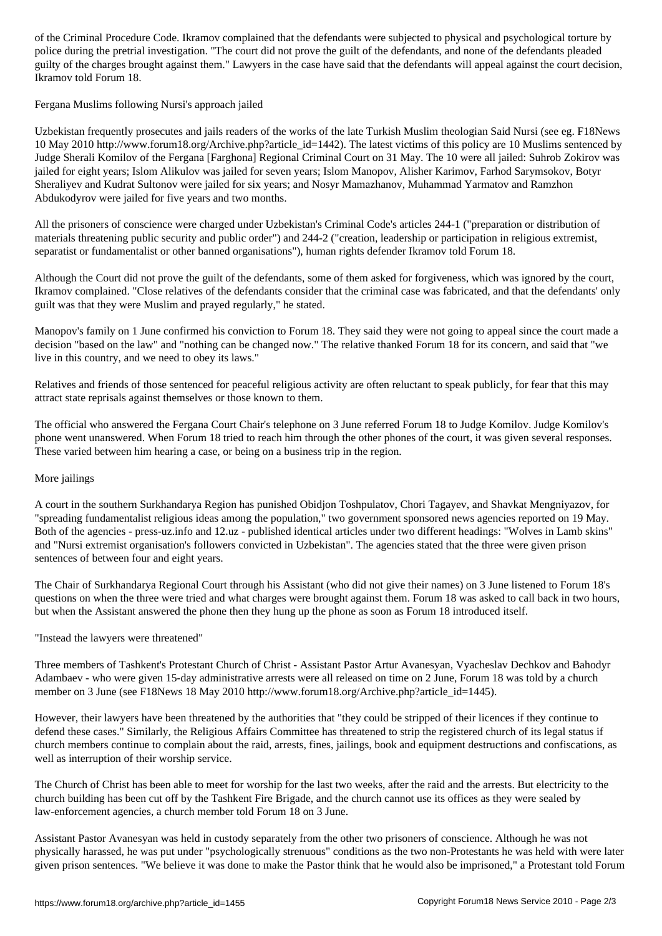police during the pretrial investigation. "The court did not prove the guilt of the defendants, and none of the defendants pleaded guilty of the charges brought against them." Lawyers in the case have said that the defendants will appeal against the court decision, Ikramov told Forum 18.

Fergana Muslims following Nursi's approach jailed

Uzbekistan frequently prosecutes and jails readers of the works of the late Turkish Muslim theologian Said Nursi (see eg. F18News 10 May 2010 http://www.forum18.org/Archive.php?article\_id=1442). The latest victims of this policy are 10 Muslims sentenced by Judge Sherali Komilov of the Fergana [Farghona] Regional Criminal Court on 31 May. The 10 were all jailed: Suhrob Zokirov was jailed for eight years; Islom Alikulov was jailed for seven years; Islom Manopov, Alisher Karimov, Farhod Sarymsokov, Botyr Sheraliyev and Kudrat Sultonov were jailed for six years; and Nosyr Mamazhanov, Muhammad Yarmatov and Ramzhon Abdukodyrov were jailed for five years and two months.

All the prisoners of conscience were charged under Uzbekistan's Criminal Code's articles 244-1 ("preparation or distribution of materials threatening public security and public order") and 244-2 ("creation, leadership or participation in religious extremist, separatist or fundamentalist or other banned organisations"), human rights defender Ikramov told Forum 18.

Although the Court did not prove the guilt of the defendants, some of them asked for forgiveness, which was ignored by the court, Ikramov complained. "Close relatives of the defendants consider that the criminal case was fabricated, and that the defendants' only guilt was that they were Muslim and prayed regularly," he stated.

Manopov's family on 1 June confirmed his conviction to Forum 18. They said they were not going to appeal since the court made a decision "based on the law" and "nothing can be changed now." The relative thanked Forum 18 for its concern, and said that "we live in this country, and we need to obey its laws."

Relatives and friends of those sentenced for peaceful religious activity are often reluctant to speak publicly, for fear that this may attract state reprisals against themselves or those known to them.

The official who answered the Fergana Court Chair's telephone on 3 June referred Forum 18 to Judge Komilov. Judge Komilov's phone went unanswered. When Forum 18 tried to reach him through the other phones of the court, it was given several responses. These varied between him hearing a case, or being on a business trip in the region.

## More jailings

A court in the southern Surkhandarya Region has punished Obidjon Toshpulatov, Chori Tagayev, and Shavkat Mengniyazov, for "spreading fundamentalist religious ideas among the population," two government sponsored news agencies reported on 19 May. Both of the agencies - press-uz.info and 12.uz - published identical articles under two different headings: "Wolves in Lamb skins" and "Nursi extremist organisation's followers convicted in Uzbekistan". The agencies stated that the three were given prison sentences of between four and eight years.

The Chair of Surkhandarya Regional Court through his Assistant (who did not give their names) on 3 June listened to Forum 18's questions on when the three were tried and what charges were brought against them. Forum 18 was asked to call back in two hours, but when the Assistant answered the phone then they hung up the phone as soon as Forum 18 introduced itself.

"Instead the lawyers were threatened"

Three members of Tashkent's Protestant Church of Christ - Assistant Pastor Artur Avanesyan, Vyacheslav Dechkov and Bahodyr Adambaev - who were given 15-day administrative arrests were all released on time on 2 June, Forum 18 was told by a church member on 3 June (see F18News 18 May 2010 http://www.forum18.org/Archive.php?article\_id=1445).

However, their lawyers have been threatened by the authorities that "they could be stripped of their licences if they continue to defend these cases." Similarly, the Religious Affairs Committee has threatened to strip the registered church of its legal status if church members continue to complain about the raid, arrests, fines, jailings, book and equipment destructions and confiscations, as well as interruption of their worship service.

The Church of Christ has been able to meet for worship for the last two weeks, after the raid and the arrests. But electricity to the church building has been cut off by the Tashkent Fire Brigade, and the church cannot use its offices as they were sealed by law-enforcement agencies, a church member told Forum 18 on 3 June.

Assistant Pastor Avanesyan was held in custody separately from the other two prisoners of conscience. Although he was not physically harassed, he was put under "psychologically strenuous" conditions as the two non-Protestants he was held with were later given prison sentences. "We believe it was done to make the Pastor think that he would also be imprisoned," a Protestant told Forum